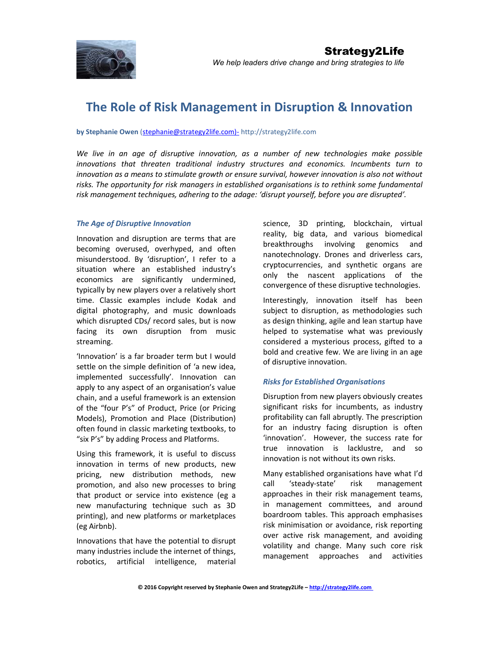

# The Role of Risk Management in Disruption & Innovation

by Stephanie Owen (stephanie@strategy2life.com)- http://strategy2life.com

We live in an age of disruptive innovation, as a number of new technologies make possible innovations that threaten traditional industry structures and economics. Incumbents turn to innovation as a means to stimulate growth or ensure survival, however innovation is also not without risks. The opportunity for risk managers in established organisations is to rethink some fundamental risk management techniques, adhering to the adage: 'disrupt yourself, before you are disrupted'.

## The Age of Disruptive Innovation

Innovation and disruption are terms that are becoming overused, overhyped, and often misunderstood. By 'disruption', I refer to a situation where an established industry's economics are significantly undermined, typically by new players over a relatively short time. Classic examples include Kodak and digital photography, and music downloads which disrupted CDs/ record sales, but is now facing its own disruption from music streaming.

'Innovation' is a far broader term but I would settle on the simple definition of 'a new idea, implemented successfully'. Innovation can apply to any aspect of an organisation's value chain, and a useful framework is an extension of the "four P's" of Product, Price (or Pricing Models), Promotion and Place (Distribution) often found in classic marketing textbooks, to "six P's" by adding Process and Platforms.

Using this framework, it is useful to discuss innovation in terms of new products, new pricing, new distribution methods, new promotion, and also new processes to bring that product or service into existence (eg a new manufacturing technique such as 3D printing), and new platforms or marketplaces (eg Airbnb).

Innovations that have the potential to disrupt many industries include the internet of things, robotics, artificial intelligence, material science, 3D printing, blockchain, virtual reality, big data, and various biomedical breakthroughs involving genomics and nanotechnology. Drones and driverless cars, cryptocurrencies, and synthetic organs are only the nascent applications of the convergence of these disruptive technologies.

Interestingly, innovation itself has been subject to disruption, as methodologies such as design thinking, agile and lean startup have helped to systematise what was previously considered a mysterious process, gifted to a bold and creative few. We are living in an age of disruptive innovation.

## Risks for Established Organisations

Disruption from new players obviously creates significant risks for incumbents, as industry profitability can fall abruptly. The prescription for an industry facing disruption is often 'innovation'. However, the success rate for true innovation is lacklustre, and so innovation is not without its own risks.

Many established organisations have what I'd call 'steady-state' risk management approaches in their risk management teams, in management committees, and around boardroom tables. This approach emphasises risk minimisation or avoidance, risk reporting over active risk management, and avoiding volatility and change. Many such core risk management approaches and activities